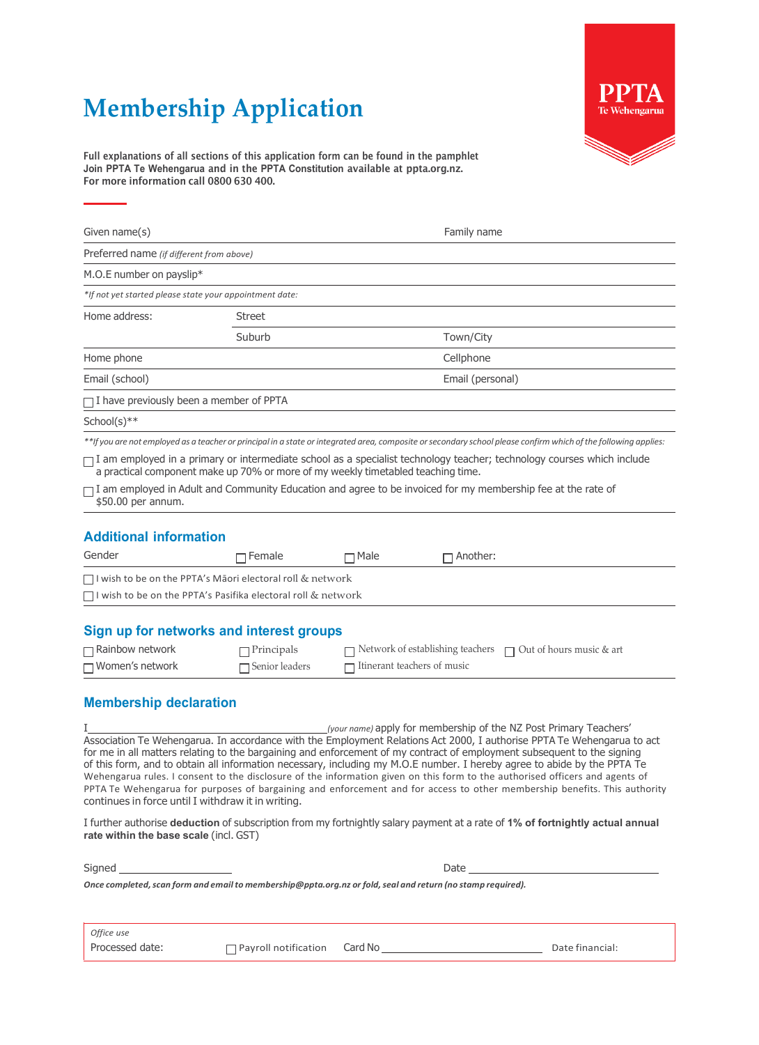## **Membership Application**



Full explanations of all sections of this application form can be found in the pamphlet **Join PPTA Te Wehengarua** and in the **PPTA Constitution** available at ppta.org.nz. For more information call 0800 630 400.

| Given name(s)                                                                                                                             |                       |                             |           | Family name                                                                                                                                                                                                                                                                                                                                                                                                                                                                                                                                                                                                                                                                                                                                                                                                                                      |  |
|-------------------------------------------------------------------------------------------------------------------------------------------|-----------------------|-----------------------------|-----------|--------------------------------------------------------------------------------------------------------------------------------------------------------------------------------------------------------------------------------------------------------------------------------------------------------------------------------------------------------------------------------------------------------------------------------------------------------------------------------------------------------------------------------------------------------------------------------------------------------------------------------------------------------------------------------------------------------------------------------------------------------------------------------------------------------------------------------------------------|--|
| Preferred name (if different from above)                                                                                                  |                       |                             |           |                                                                                                                                                                                                                                                                                                                                                                                                                                                                                                                                                                                                                                                                                                                                                                                                                                                  |  |
| M.O.E number on payslip*                                                                                                                  |                       |                             |           |                                                                                                                                                                                                                                                                                                                                                                                                                                                                                                                                                                                                                                                                                                                                                                                                                                                  |  |
| *If not yet started please state your appointment date:                                                                                   |                       |                             |           |                                                                                                                                                                                                                                                                                                                                                                                                                                                                                                                                                                                                                                                                                                                                                                                                                                                  |  |
| Home address:                                                                                                                             | Street                |                             |           |                                                                                                                                                                                                                                                                                                                                                                                                                                                                                                                                                                                                                                                                                                                                                                                                                                                  |  |
|                                                                                                                                           | Suburb                |                             | Town/City |                                                                                                                                                                                                                                                                                                                                                                                                                                                                                                                                                                                                                                                                                                                                                                                                                                                  |  |
| Home phone                                                                                                                                | Cellphone             |                             |           |                                                                                                                                                                                                                                                                                                                                                                                                                                                                                                                                                                                                                                                                                                                                                                                                                                                  |  |
| Email (school)                                                                                                                            | Email (personal)      |                             |           |                                                                                                                                                                                                                                                                                                                                                                                                                                                                                                                                                                                                                                                                                                                                                                                                                                                  |  |
| $\Box$ I have previously been a member of PPTA                                                                                            |                       |                             |           |                                                                                                                                                                                                                                                                                                                                                                                                                                                                                                                                                                                                                                                                                                                                                                                                                                                  |  |
| School(s)**                                                                                                                               |                       |                             |           |                                                                                                                                                                                                                                                                                                                                                                                                                                                                                                                                                                                                                                                                                                                                                                                                                                                  |  |
|                                                                                                                                           |                       |                             |           | **If you are not employed as a teacher or principal in a state or integrated area, composite or secondary school please confirm which of the following applies:                                                                                                                                                                                                                                                                                                                                                                                                                                                                                                                                                                                                                                                                                  |  |
| a practical component make up 70% or more of my weekly timetabled teaching time.                                                          |                       |                             |           | $\Box$ I am employed in a primary or intermediate school as a specialist technology teacher; technology courses which include                                                                                                                                                                                                                                                                                                                                                                                                                                                                                                                                                                                                                                                                                                                    |  |
| $\Box$ I am employed in Adult and Community Education and agree to be invoiced for my membership fee at the rate of<br>\$50.00 per annum. |                       |                             |           |                                                                                                                                                                                                                                                                                                                                                                                                                                                                                                                                                                                                                                                                                                                                                                                                                                                  |  |
|                                                                                                                                           |                       |                             |           |                                                                                                                                                                                                                                                                                                                                                                                                                                                                                                                                                                                                                                                                                                                                                                                                                                                  |  |
| <b>Additional information</b>                                                                                                             |                       |                             |           |                                                                                                                                                                                                                                                                                                                                                                                                                                                                                                                                                                                                                                                                                                                                                                                                                                                  |  |
| Gender                                                                                                                                    | Female                | Male                        | Another:  |                                                                                                                                                                                                                                                                                                                                                                                                                                                                                                                                                                                                                                                                                                                                                                                                                                                  |  |
| $\Box$ I wish to be on the PPTA's Māori electoral roll & network                                                                          |                       |                             |           |                                                                                                                                                                                                                                                                                                                                                                                                                                                                                                                                                                                                                                                                                                                                                                                                                                                  |  |
| $\Box$ I wish to be on the PPTA's Pasifika electoral roll & network                                                                       |                       |                             |           |                                                                                                                                                                                                                                                                                                                                                                                                                                                                                                                                                                                                                                                                                                                                                                                                                                                  |  |
| Sign up for networks and interest groups                                                                                                  |                       |                             |           |                                                                                                                                                                                                                                                                                                                                                                                                                                                                                                                                                                                                                                                                                                                                                                                                                                                  |  |
| $\Box$ Rainbow network                                                                                                                    | $\Box$ Principals     |                             |           | Network of establishing teachers $\Box$ Out of hours music & art                                                                                                                                                                                                                                                                                                                                                                                                                                                                                                                                                                                                                                                                                                                                                                                 |  |
| □ Women's network                                                                                                                         | $\Box$ Senior leaders | Itinerant teachers of music |           |                                                                                                                                                                                                                                                                                                                                                                                                                                                                                                                                                                                                                                                                                                                                                                                                                                                  |  |
|                                                                                                                                           |                       |                             |           |                                                                                                                                                                                                                                                                                                                                                                                                                                                                                                                                                                                                                                                                                                                                                                                                                                                  |  |
| <b>Membership declaration</b>                                                                                                             |                       |                             |           |                                                                                                                                                                                                                                                                                                                                                                                                                                                                                                                                                                                                                                                                                                                                                                                                                                                  |  |
| continues in force until I withdraw it in writing.<br>rate within the base scale (incl. GST)                                              |                       |                             |           | (your name) apply for membership of the NZ Post Primary Teachers'<br>Association Te Wehengarua. In accordance with the Employment Relations Act 2000, I authorise PPTA Te Wehengarua to act<br>for me in all matters relating to the bargaining and enforcement of my contract of employment subsequent to the signing<br>of this form, and to obtain all information necessary, including my M.O.E number. I hereby agree to abide by the PPTA Te<br>Wehengarua rules. I consent to the disclosure of the information given on this form to the authorised officers and agents of<br>PPTA Te Wehengarua for purposes of bargaining and enforcement and for access to other membership benefits. This authority<br>I further authorise deduction of subscription from my fortnightly salary payment at a rate of 1% of fortnightly actual annual |  |

Signed **Date** 

*Once completed,scan form and email to [membership@ppta.org.nz](mailto:membership@ppta.org.nz) or fold,seal and return (no stamp required).*

| Office use      |                                     |                 |
|-----------------|-------------------------------------|-----------------|
| Processed date: | $\Box$ Payroll notification Card No | Date financial: |